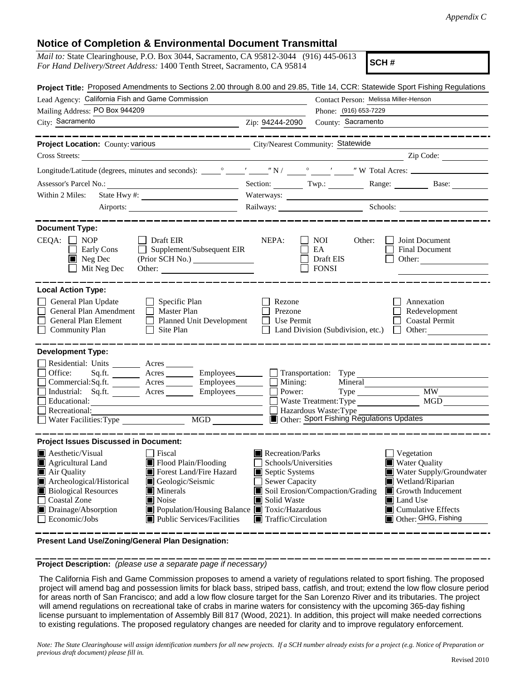## **Notice of Completion & Environmental Document Transmittal**

| <i>Mail to:</i> State Clearinghouse, P.O. Box 3044, Sacramento, CA 95812-3044 (916) 445-0613<br>For Hand Delivery/Street Address: 1400 Tenth Street, Sacramento, CA 95814                                                                                                                                                                                                                                                              |                                                                                                                                   | SCH#                                                                                                                                                                                                                                                                                                                |  |  |  |
|----------------------------------------------------------------------------------------------------------------------------------------------------------------------------------------------------------------------------------------------------------------------------------------------------------------------------------------------------------------------------------------------------------------------------------------|-----------------------------------------------------------------------------------------------------------------------------------|---------------------------------------------------------------------------------------------------------------------------------------------------------------------------------------------------------------------------------------------------------------------------------------------------------------------|--|--|--|
| Project Title: Proposed Amendments to Sections 2.00 through 8.00 and 29.85, Title 14, CCR: Statewide Sport Fishing Regulations<br>Lead Agency: California Fish and Game Commission<br>Contact Person: Melissa Miller-Henson                                                                                                                                                                                                            |                                                                                                                                   |                                                                                                                                                                                                                                                                                                                     |  |  |  |
| Mailing Address: PO Box 944209                                                                                                                                                                                                                                                                                                                                                                                                         |                                                                                                                                   | Phone: (916) 653-7229                                                                                                                                                                                                                                                                                               |  |  |  |
| City: Sacramento                                                                                                                                                                                                                                                                                                                                                                                                                       | Zip: 94244-2090                                                                                                                   | County: Sacramento                                                                                                                                                                                                                                                                                                  |  |  |  |
| ______________<br>Project Location: County: various<br>City/Nearest Community: Statewide                                                                                                                                                                                                                                                                                                                                               |                                                                                                                                   |                                                                                                                                                                                                                                                                                                                     |  |  |  |
| Cross Streets:                                                                                                                                                                                                                                                                                                                                                                                                                         |                                                                                                                                   | $\frac{1}{2}$ $\frac{1}{2}$ $\frac{1}{2}$ $\frac{1}{2}$ $\frac{1}{2}$ $\frac{1}{2}$ $\frac{1}{2}$ $\frac{1}{2}$ $\frac{1}{2}$ $\frac{1}{2}$ $\frac{1}{2}$ $\frac{1}{2}$ $\frac{1}{2}$ $\frac{1}{2}$ $\frac{1}{2}$ $\frac{1}{2}$ $\frac{1}{2}$ $\frac{1}{2}$ $\frac{1}{2}$ $\frac{1}{2}$ $\frac{1}{2}$ $\frac{1}{2}$ |  |  |  |
|                                                                                                                                                                                                                                                                                                                                                                                                                                        |                                                                                                                                   |                                                                                                                                                                                                                                                                                                                     |  |  |  |
|                                                                                                                                                                                                                                                                                                                                                                                                                                        |                                                                                                                                   | Section: Twp.: Range: Base:                                                                                                                                                                                                                                                                                         |  |  |  |
| Within 2 Miles:                                                                                                                                                                                                                                                                                                                                                                                                                        |                                                                                                                                   |                                                                                                                                                                                                                                                                                                                     |  |  |  |
|                                                                                                                                                                                                                                                                                                                                                                                                                                        | Railways: Schools: Schools:                                                                                                       |                                                                                                                                                                                                                                                                                                                     |  |  |  |
| <b>Document Type:</b><br>$CEQA: \Box$<br><b>NOP</b><br>  Draft EIR<br>$\Box$ Supplement/Subsequent EIR<br>Early Cons<br>Neg Dec<br>(Prior SCH No.)<br>Mit Neg Dec<br>Other:<br><b>Local Action Type:</b><br>General Plan Update<br>$\Box$ Specific Plan<br>General Plan Amendment<br>$\Box$ Master Plan<br>General Plan Element<br>Planned Unit Development<br>Community Plan<br>$\Box$ Site Plan                                      | NEPA:<br>Rezone<br>Prezone<br>Use Permit                                                                                          | NOI<br>Other:<br>Joint Document<br>EA<br>Final Document<br>Draft EIS<br>Other:<br>$\Box$ FONSI<br>Annexation<br>Redevelopment<br><b>Coastal Permit</b><br>Land Division (Subdivision, etc.) $\Box$<br>Other:                                                                                                        |  |  |  |
| <b>Development Type:</b><br>Residential: Units ________ Acres _______<br>Office:<br>Sq.fit.<br>Acres __________ Employees________<br>Commercial:Sq.ft. ________ Acres _______<br>Employees<br>Industrial: Sq.ft.<br>Employees_______<br>Acres<br>Educational:<br>Recreational:<br><b>MGD</b><br>Water Facilities: Type                                                                                                                 | Mining:<br>Power:                                                                                                                 | Transportation: Type<br>Mineral<br><b>MW</b><br>Type<br>MGD<br>Waste Treatment: Type<br>Hazardous Waste: Type<br>Other: Sport Fishing Regulations Updates                                                                                                                                                           |  |  |  |
| <b>Project Issues Discussed in Document:</b><br>$\blacksquare$ Aesthetic/Visual<br>Fiscal<br>Agricultural Land<br>Flood Plain/Flooding<br>Forest Land/Fire Hazard<br>Air Quality<br>Archeological/Historical<br>Geologic/Seismic<br><b>Biological Resources</b><br>Minerals<br>Coastal Zone<br>Noise<br>ш<br>Population/Housing Balance ■ Toxic/Hazardous<br>Drainage/Absorption<br>Economic/Jobs<br><b>Public Services/Facilities</b> | Recreation/Parks<br>Schools/Universities<br>Septic Systems<br>Sewer Capacity<br>Solid Waste<br>$\blacksquare$ Traffic/Circulation | Vegetation<br><b>Water Quality</b><br>Water Supply/Groundwater<br>Wetland/Riparian<br>Soil Erosion/Compaction/Grading<br>$\blacksquare$ Growth Inducement<br>Land Use<br>$\blacksquare$ Cumulative Effects<br>Other: GHG, Fishing                                                                                   |  |  |  |

**Present Land Use/Zoning/General Plan Designation:**

**Project Description:** *(please use a separate page if necessary)*

 The California Fish and Game Commission proposes to amend a variety of regulations related to sport fishing. The proposed project will amend bag and possession limits for black bass, striped bass, catfish, and trout; extend the low flow closure period for areas north of San Francisco; and add a low flow closure target for the San Lorenzo River and its tributaries. The project will amend regulations on recreational take of crabs in marine waters for consistency with the upcoming 365-day fishing license pursuant to implementation of Assembly Bill 817 (Wood, 2021). In addition, this project will make needed corrections to existing regulations. The proposed regulatory changes are needed for clarity and to improve regulatory enforcement.

*Note: The State Clearinghouse will assign identification numbers for all new projects. If a SCH number already exists for a project (e.g. Notice of Preparation or previous draft document) please fill in.*